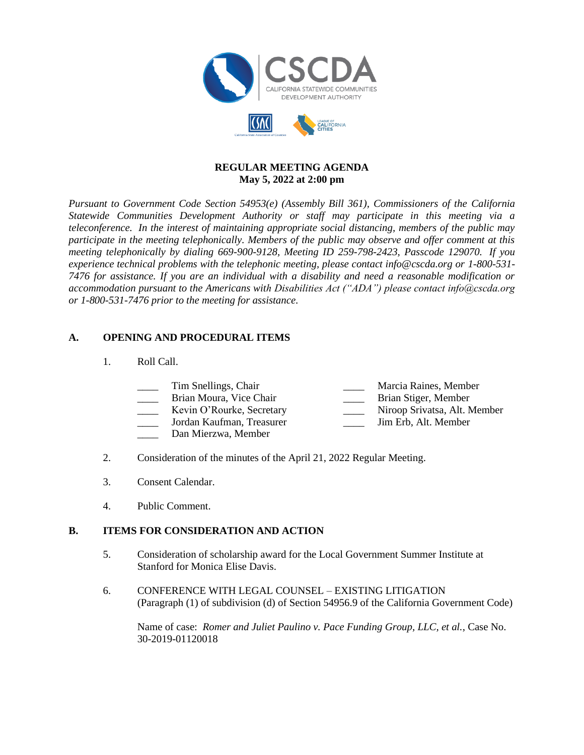

#### **REGULAR MEETING AGENDA May 5, 2022 at 2:00 pm**

*Pursuant to Government Code Section 54953(e) (Assembly Bill 361), Commissioners of the California Statewide Communities Development Authority or staff may participate in this meeting via a teleconference. In the interest of maintaining appropriate social distancing, members of the public may participate in the meeting telephonically. Members of the public may observe and offer comment at this meeting telephonically by dialing 669-900-9128, Meeting ID 259-798-2423, Passcode 129070. If you experience technical problems with the telephonic meeting, please contact info@cscda.org or 1-800-531- 7476 for assistance. If you are an individual with a disability and need a reasonable modification or accommodation pursuant to the Americans with Disabilities Act ("ADA") please contact info@cscda.org or 1-800-531-7476 prior to the meeting for assistance.*

### **A. OPENING AND PROCEDURAL ITEMS**

1. Roll Call.

| Tim Snellings, Chair    | Marcia Raines, Member |
|-------------------------|-----------------------|
|                         |                       |
| Brian Moura, Vice Chair | Brian Stiger, Member  |

- Kevin O'Rourke, Secretary **Alternative Contains Alternative Contains Alt. Member** Jordan Kaufman, Treasurer **Alternative Contains Alternative Contains Alternative Contains Alternative Contains Alt. Member**
- Jordan Kaufman, Treasurer
- Dan Mierzwa, Member
- 2. Consideration of the minutes of the April 21, 2022 Regular Meeting.
- 3. Consent Calendar.
- 4. Public Comment.

### **B. ITEMS FOR CONSIDERATION AND ACTION**

- 5. Consideration of scholarship award for the Local Government Summer Institute at Stanford for Monica Elise Davis.
- 6. CONFERENCE WITH LEGAL COUNSEL EXISTING LITIGATION (Paragraph (1) of subdivision (d) of Section 54956.9 of the California Government Code)

Name of case: *Romer and Juliet Paulino v. Pace Funding Group, LLC, et al.*, Case No. 30-2019-01120018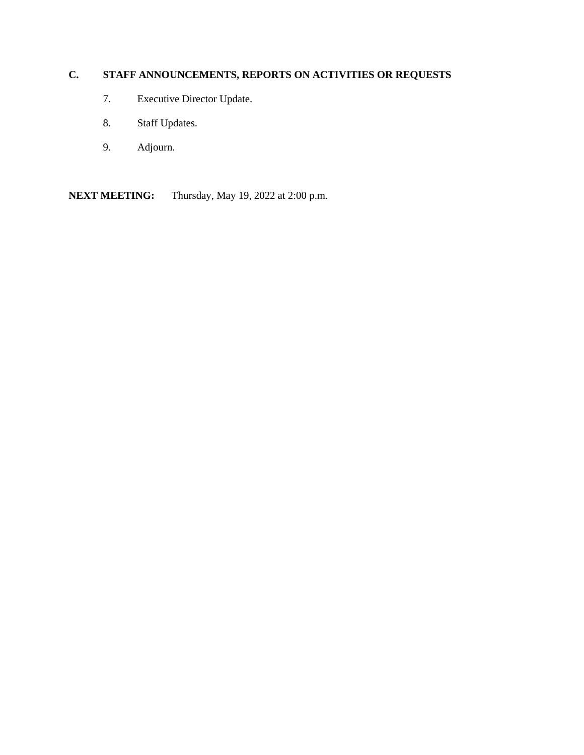# **C. STAFF ANNOUNCEMENTS, REPORTS ON ACTIVITIES OR REQUESTS**

- 7. Executive Director Update.
- 8. Staff Updates.
- 9. Adjourn.

**NEXT MEETING:** Thursday, May 19, 2022 at 2:00 p.m.